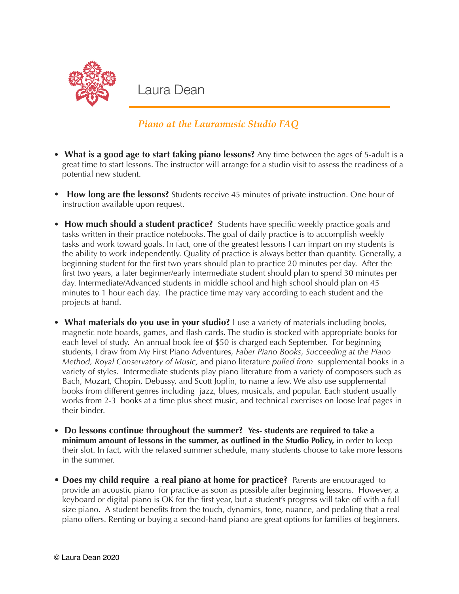

Laura Dean

## *Piano at the Lauramusic Studio FAQ*

- **What is a good age to start taking piano lessons?** Any time between the ages of 5-adult is a great time to start lessons. The instructor will arrange for a studio visit to assess the readiness of a potential new student.
- **How long are the lessons?** Students receive 45 minutes of private instruction. One hour of instruction available upon request.
- **How much should a student practice?** Students have specific weekly practice goals and tasks written in their practice notebooks. The goal of daily practice is to accomplish weekly tasks and work toward goals. In fact, one of the greatest lessons I can impart on my students is the ability to work independently. Quality of practice is always better than quantity. Generally, a beginning student for the first two years should plan to practice 20 minutes per day. After the first two years, a later beginner/early intermediate student should plan to spend 30 minutes per day. Intermediate/Advanced students in middle school and high school should plan on 45 minutes to 1 hour each day. The practice time may vary according to each student and the projects at hand.
- **What materials do you use in your studio?** I use a variety of materials including books, magnetic note boards, games, and flash cards. The studio is stocked with appropriate books for each level of study. An annual book fee of \$50 is charged each September. For beginning students, I draw from My First Piano Adventures, *Faber Piano Books*, *Succeeding at the Piano Method, Royal Conservatory of Music,* and piano literature *pulled from* supplemental books in a variety of styles. Intermediate students play piano literature from a variety of composers such as Bach, Mozart, Chopin, Debussy, and Scott Joplin, to name a few. We also use supplemental books from different genres including jazz, blues, musicals, and popular. Each student usually works from 2-3 books at a time plus sheet music, and technical exercises on loose leaf pages in their binder.
- **• Do lessons continue throughout the summer? Yes- students are required to take a minimum amount of lessons in the summer, as outlined in the Studio Policy,** in order to keep their slot. In fact, with the relaxed summer schedule, many students choose to take more lessons in the summer.
- **Does my child require a real piano at home for practice?** Parents are encouraged to provide an acoustic piano for practice as soon as possible after beginning lessons. However, a keyboard or digital piano is OK for the first year, but a student's progress will take off with a full size piano. A student benefits from the touch, dynamics, tone, nuance, and pedaling that a real piano offers. Renting or buying a second-hand piano are great options for families of beginners.